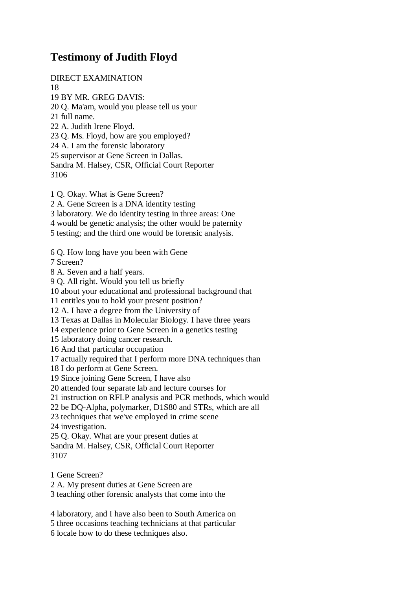## **Testimony of Judith Floyd**

DIRECT EXAMINATION 18 19 BY MR. GREG DAVIS: 20 Q. Ma'am, would you please tell us your 21 full name. 22 A. Judith Irene Floyd. 23 Q. Ms. Floyd, how are you employed? 24 A. I am the forensic laboratory 25 supervisor at Gene Screen in Dallas. Sandra M. Halsey, CSR, Official Court Reporter 3106

1 Q. Okay. What is Gene Screen? 2 A. Gene Screen is a DNA identity testing 3 laboratory. We do identity testing in three areas: One 4 would be genetic analysis; the other would be paternity 5 testing; and the third one would be forensic analysis. 6 Q. How long have you been with Gene

7 Screen?

8 A. Seven and a half years.

9 Q. All right. Would you tell us briefly

10 about your educational and professional background that

11 entitles you to hold your present position?

12 A. I have a degree from the University of

13 Texas at Dallas in Molecular Biology. I have three years

14 experience prior to Gene Screen in a genetics testing

15 laboratory doing cancer research.

16 And that particular occupation

17 actually required that I perform more DNA techniques than

18 I do perform at Gene Screen.

19 Since joining Gene Screen, I have also

20 attended four separate lab and lecture courses for

21 instruction on RFLP analysis and PCR methods, which would

22 be DQ-Alpha, polymarker, D1S80 and STRs, which are all

23 techniques that we've employed in crime scene

24 investigation.

25 Q. Okay. What are your present duties at

Sandra M. Halsey, CSR, Official Court Reporter 3107

1 Gene Screen?

2 A. My present duties at Gene Screen are

3 teaching other forensic analysts that come into the

4 laboratory, and I have also been to South America on

5 three occasions teaching technicians at that particular

6 locale how to do these techniques also.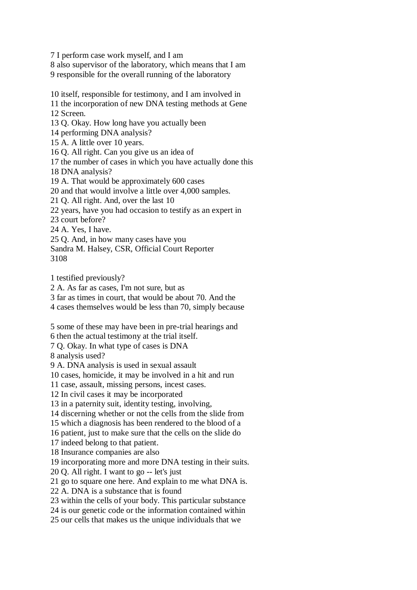7 I perform case work myself, and I am

8 also supervisor of the laboratory, which means that I am 9 responsible for the overall running of the laboratory

10 itself, responsible for testimony, and I am involved in

11 the incorporation of new DNA testing methods at Gene 12 Screen.

13 Q. Okay. How long have you actually been

14 performing DNA analysis?

15 A. A little over 10 years.

16 Q. All right. Can you give us an idea of

17 the number of cases in which you have actually done this

18 DNA analysis?

19 A. That would be approximately 600 cases

20 and that would involve a little over 4,000 samples.

21 Q. All right. And, over the last 10

22 years, have you had occasion to testify as an expert in

23 court before?

24 A. Yes, I have.

25 Q. And, in how many cases have you

Sandra M. Halsey, CSR, Official Court Reporter 3108

1 testified previously?

2 A. As far as cases, I'm not sure, but as

3 far as times in court, that would be about 70. And the

4 cases themselves would be less than 70, simply because

5 some of these may have been in pre-trial hearings and

6 then the actual testimony at the trial itself.

7 Q. Okay. In what type of cases is DNA

8 analysis used?

9 A. DNA analysis is used in sexual assault

10 cases, homicide, it may be involved in a hit and run

11 case, assault, missing persons, incest cases.

12 In civil cases it may be incorporated

13 in a paternity suit, identity testing, involving,

14 discerning whether or not the cells from the slide from

15 which a diagnosis has been rendered to the blood of a

16 patient, just to make sure that the cells on the slide do

17 indeed belong to that patient.

18 Insurance companies are also

19 incorporating more and more DNA testing in their suits.

20 Q. All right. I want to go -- let's just

21 go to square one here. And explain to me what DNA is.

22 A. DNA is a substance that is found

23 within the cells of your body. This particular substance

24 is our genetic code or the information contained within

25 our cells that makes us the unique individuals that we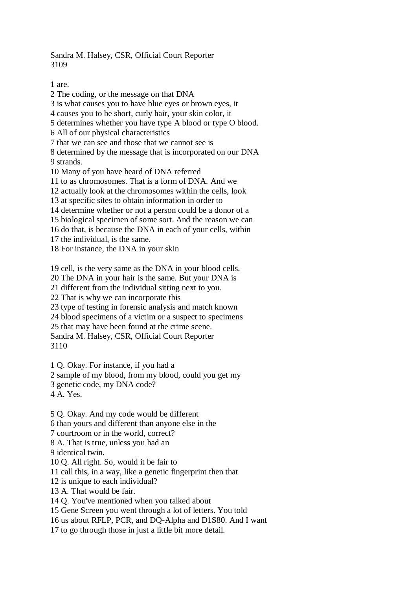Sandra M. Halsey, CSR, Official Court Reporter 3109

1 are.

2 The coding, or the message on that DNA 3 is what causes you to have blue eyes or brown eyes, it 4 causes you to be short, curly hair, your skin color, it 5 determines whether you have type A blood or type O blood. 6 All of our physical characteristics 7 that we can see and those that we cannot see is 8 determined by the message that is incorporated on our DNA 9 strands. 10 Many of you have heard of DNA referred 11 to as chromosomes. That is a form of DNA. And we 12 actually look at the chromosomes within the cells, look 13 at specific sites to obtain information in order to 14 determine whether or not a person could be a donor of a 15 biological specimen of some sort. And the reason we can 16 do that, is because the DNA in each of your cells, within 17 the individual, is the same. 18 For instance, the DNA in your skin 19 cell, is the very same as the DNA in your blood cells. 20 The DNA in your hair is the same. But your DNA is 21 different from the individual sitting next to you. 22 That is why we can incorporate this 23 type of testing in forensic analysis and match known 24 blood specimens of a victim or a suspect to specimens 25 that may have been found at the crime scene. Sandra M. Halsey, CSR, Official Court Reporter 3110 1 Q. Okay. For instance, if you had a 2 sample of my blood, from my blood, could you get my 3 genetic code, my DNA code? 4 A. Yes. 5 Q. Okay. And my code would be different 6 than yours and different than anyone else in the 7 courtroom or in the world, correct? 8 A. That is true, unless you had an 9 identical twin.

10 Q. All right. So, would it be fair to

11 call this, in a way, like a genetic fingerprint then that

12 is unique to each individual?

13 A. That would be fair.

14 Q. You've mentioned when you talked about

15 Gene Screen you went through a lot of letters. You told

16 us about RFLP, PCR, and DQ-Alpha and D1S80. And I want

17 to go through those in just a little bit more detail.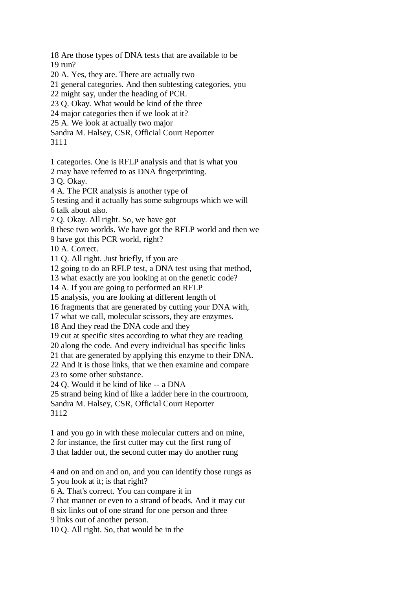18 Are those types of DNA tests that are available to be 19 run?

20 A. Yes, they are. There are actually two

21 general categories. And then subtesting categories, you

22 might say, under the heading of PCR.

23 Q. Okay. What would be kind of the three

24 major categories then if we look at it?

25 A. We look at actually two major

Sandra M. Halsey, CSR, Official Court Reporter

3111

1 categories. One is RFLP analysis and that is what you

2 may have referred to as DNA fingerprinting.

3 Q. Okay.

4 A. The PCR analysis is another type of

5 testing and it actually has some subgroups which we will

6 talk about also.

7 Q. Okay. All right. So, we have got

8 these two worlds. We have got the RFLP world and then we

9 have got this PCR world, right?

10 A. Correct.

11 Q. All right. Just briefly, if you are

12 going to do an RFLP test, a DNA test using that method,

13 what exactly are you looking at on the genetic code?

14 A. If you are going to performed an RFLP

15 analysis, you are looking at different length of

16 fragments that are generated by cutting your DNA with,

17 what we call, molecular scissors, they are enzymes.

18 And they read the DNA code and they

19 cut at specific sites according to what they are reading

20 along the code. And every individual has specific links

21 that are generated by applying this enzyme to their DNA.

22 And it is those links, that we then examine and compare

23 to some other substance.

24 Q. Would it be kind of like -- a DNA

25 strand being kind of like a ladder here in the courtroom,

Sandra M. Halsey, CSR, Official Court Reporter 3112

1 and you go in with these molecular cutters and on mine,

2 for instance, the first cutter may cut the first rung of

3 that ladder out, the second cutter may do another rung

4 and on and on and on, and you can identify those rungs as 5 you look at it; is that right?

6 A. That's correct. You can compare it in

7 that manner or even to a strand of beads. And it may cut

8 six links out of one strand for one person and three

9 links out of another person.

10 Q. All right. So, that would be in the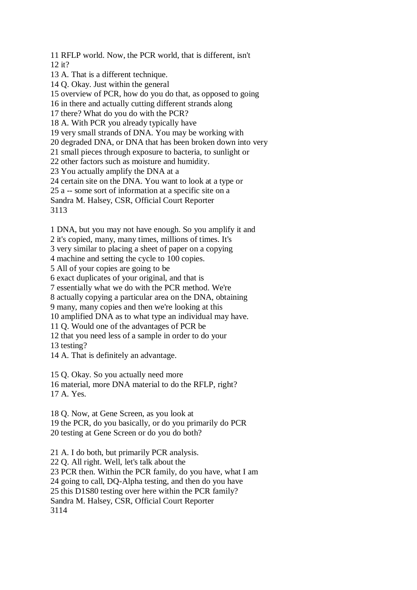11 RFLP world. Now, the PCR world, that is different, isn't 12 it? 13 A. That is a different technique.

14 Q. Okay. Just within the general

15 overview of PCR, how do you do that, as opposed to going

16 in there and actually cutting different strands along

17 there? What do you do with the PCR?

18 A. With PCR you already typically have

19 very small strands of DNA. You may be working with

20 degraded DNA, or DNA that has been broken down into very

21 small pieces through exposure to bacteria, to sunlight or

22 other factors such as moisture and humidity.

23 You actually amplify the DNA at a

24 certain site on the DNA. You want to look at a type or

25 a -- some sort of information at a specific site on a

Sandra M. Halsey, CSR, Official Court Reporter

3113

1 DNA, but you may not have enough. So you amplify it and

2 it's copied, many, many times, millions of times. It's

3 very similar to placing a sheet of paper on a copying

4 machine and setting the cycle to 100 copies.

5 All of your copies are going to be

6 exact duplicates of your original, and that is

7 essentially what we do with the PCR method. We're

8 actually copying a particular area on the DNA, obtaining

9 many, many copies and then we're looking at this

10 amplified DNA as to what type an individual may have.

11 Q. Would one of the advantages of PCR be

12 that you need less of a sample in order to do your

13 testing?

14 A. That is definitely an advantage.

15 Q. Okay. So you actually need more

16 material, more DNA material to do the RFLP, right? 17 A. Yes.

18 Q. Now, at Gene Screen, as you look at 19 the PCR, do you basically, or do you primarily do PCR 20 testing at Gene Screen or do you do both?

21 A. I do both, but primarily PCR analysis.

22 Q. All right. Well, let's talk about the

23 PCR then. Within the PCR family, do you have, what I am

24 going to call, DQ-Alpha testing, and then do you have

25 this D1S80 testing over here within the PCR family?

Sandra M. Halsey, CSR, Official Court Reporter

3114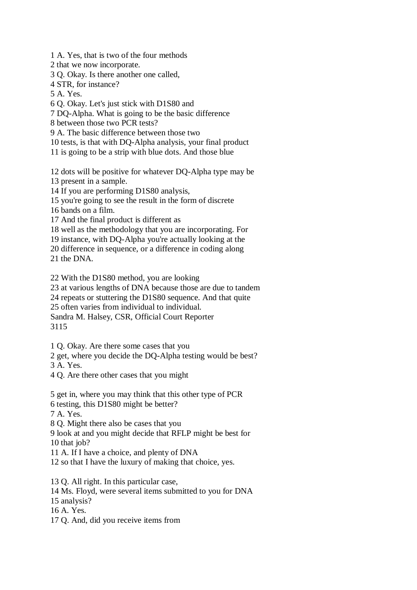1 A. Yes, that is two of the four methods

2 that we now incorporate.

3 Q. Okay. Is there another one called,

4 STR, for instance?

5 A. Yes.

6 Q. Okay. Let's just stick with D1S80 and

7 DQ-Alpha. What is going to be the basic difference

8 between those two PCR tests?

9 A. The basic difference between those two

10 tests, is that with DQ-Alpha analysis, your final product

11 is going to be a strip with blue dots. And those blue

12 dots will be positive for whatever DQ-Alpha type may be

13 present in a sample.

14 If you are performing D1S80 analysis,

15 you're going to see the result in the form of discrete

16 bands on a film.

17 And the final product is different as

18 well as the methodology that you are incorporating. For

19 instance, with DQ-Alpha you're actually looking at the

20 difference in sequence, or a difference in coding along

21 the DNA.

22 With the D1S80 method, you are looking

23 at various lengths of DNA because those are due to tandem

24 repeats or stuttering the D1S80 sequence. And that quite

25 often varies from individual to individual.

Sandra M. Halsey, CSR, Official Court Reporter

3115

1 Q. Okay. Are there some cases that you

2 get, where you decide the DQ-Alpha testing would be best?

3 A. Yes.

4 Q. Are there other cases that you might

5 get in, where you may think that this other type of PCR

6 testing, this D1S80 might be better?

7 A. Yes.

8 Q. Might there also be cases that you

9 look at and you might decide that RFLP might be best for 10 that job?

11 A. If I have a choice, and plenty of DNA

12 so that I have the luxury of making that choice, yes.

13 Q. All right. In this particular case,

14 Ms. Floyd, were several items submitted to you for DNA

15 analysis?

16 A. Yes.

17 Q. And, did you receive items from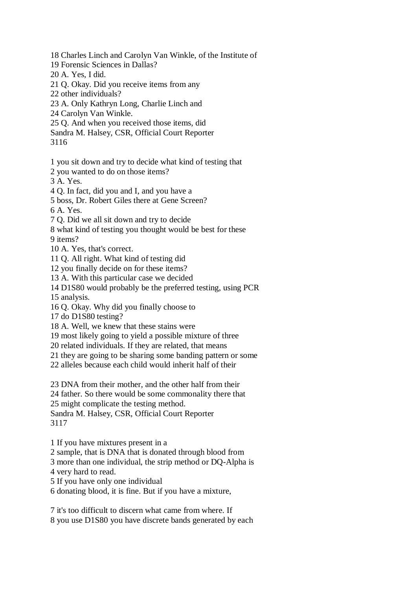18 Charles Linch and Carolyn Van Winkle, of the Institute of

19 Forensic Sciences in Dallas?

20 A. Yes, I did.

21 Q. Okay. Did you receive items from any

22 other individuals?

23 A. Only Kathryn Long, Charlie Linch and

24 Carolyn Van Winkle.

25 Q. And when you received those items, did

Sandra M. Halsey, CSR, Official Court Reporter

3116

1 you sit down and try to decide what kind of testing that

2 you wanted to do on those items?

3 A. Yes.

4 Q. In fact, did you and I, and you have a

5 boss, Dr. Robert Giles there at Gene Screen?

6 A. Yes.

7 Q. Did we all sit down and try to decide

8 what kind of testing you thought would be best for these

9 items?

10 A. Yes, that's correct.

11 Q. All right. What kind of testing did

12 you finally decide on for these items?

13 A. With this particular case we decided

14 D1S80 would probably be the preferred testing, using PCR

15 analysis.

16 Q. Okay. Why did you finally choose to

17 do D1S80 testing?

18 A. Well, we knew that these stains were

19 most likely going to yield a possible mixture of three

20 related individuals. If they are related, that means

21 they are going to be sharing some banding pattern or some

22 alleles because each child would inherit half of their

23 DNA from their mother, and the other half from their

24 father. So there would be some commonality there that

25 might complicate the testing method.

Sandra M. Halsey, CSR, Official Court Reporter 3117

1 If you have mixtures present in a

2 sample, that is DNA that is donated through blood from

3 more than one individual, the strip method or DQ-Alpha is 4 very hard to read.

5 If you have only one individual

6 donating blood, it is fine. But if you have a mixture,

7 it's too difficult to discern what came from where. If 8 you use D1S80 you have discrete bands generated by each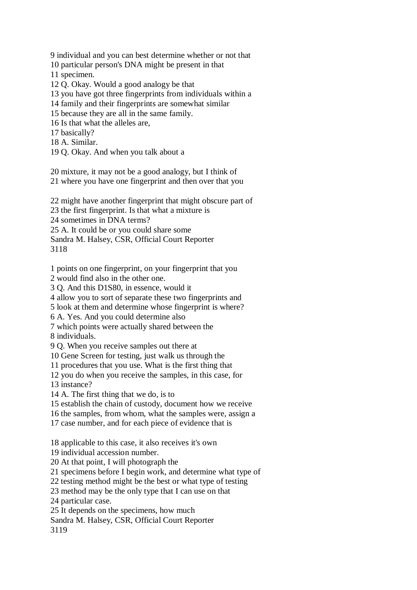9 individual and you can best determine whether or not that

10 particular person's DNA might be present in that

11 specimen.

12 Q. Okay. Would a good analogy be that

13 you have got three fingerprints from individuals within a

14 family and their fingerprints are somewhat similar

15 because they are all in the same family.

16 Is that what the alleles are,

17 basically?

18 A. Similar.

19 Q. Okay. And when you talk about a

20 mixture, it may not be a good analogy, but I think of 21 where you have one fingerprint and then over that you

22 might have another fingerprint that might obscure part of

23 the first fingerprint. Is that what a mixture is

24 sometimes in DNA terms?

25 A. It could be or you could share some

Sandra M. Halsey, CSR, Official Court Reporter 3118

1 points on one fingerprint, on your fingerprint that you

2 would find also in the other one.

3 Q. And this D1S80, in essence, would it

4 allow you to sort of separate these two fingerprints and

5 look at them and determine whose fingerprint is where?

6 A. Yes. And you could determine also

7 which points were actually shared between the

8 individuals.

9 Q. When you receive samples out there at

10 Gene Screen for testing, just walk us through the

11 procedures that you use. What is the first thing that

12 you do when you receive the samples, in this case, for

13 instance?

14 A. The first thing that we do, is to

15 establish the chain of custody, document how we receive

16 the samples, from whom, what the samples were, assign a

17 case number, and for each piece of evidence that is

18 applicable to this case, it also receives it's own

19 individual accession number.

20 At that point, I will photograph the

21 specimens before I begin work, and determine what type of

22 testing method might be the best or what type of testing

23 method may be the only type that I can use on that

24 particular case.

25 It depends on the specimens, how much

Sandra M. Halsey, CSR, Official Court Reporter

3119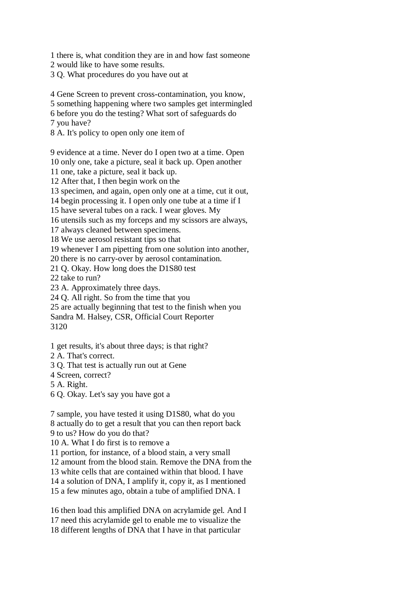1 there is, what condition they are in and how fast someone

2 would like to have some results.

3 Q. What procedures do you have out at

4 Gene Screen to prevent cross-contamination, you know,

5 something happening where two samples get intermingled

6 before you do the testing? What sort of safeguards do

7 you have?

8 A. It's policy to open only one item of

9 evidence at a time. Never do I open two at a time. Open

10 only one, take a picture, seal it back up. Open another

11 one, take a picture, seal it back up.

12 After that, I then begin work on the

13 specimen, and again, open only one at a time, cut it out,

14 begin processing it. I open only one tube at a time if I

15 have several tubes on a rack. I wear gloves. My

16 utensils such as my forceps and my scissors are always,

17 always cleaned between specimens.

18 We use aerosol resistant tips so that

19 whenever I am pipetting from one solution into another,

20 there is no carry-over by aerosol contamination.

21 Q. Okay. How long does the D1S80 test

22 take to run?

23 A. Approximately three days.

24 Q. All right. So from the time that you

25 are actually beginning that test to the finish when you

Sandra M. Halsey, CSR, Official Court Reporter

3120

1 get results, it's about three days; is that right?

2 A. That's correct.

3 Q. That test is actually run out at Gene

4 Screen, correct?

5 A. Right.

6 Q. Okay. Let's say you have got a

7 sample, you have tested it using D1S80, what do you 8 actually do to get a result that you can then report back 9 to us? How do you do that?

10 A. What I do first is to remove a

11 portion, for instance, of a blood stain, a very small

12 amount from the blood stain. Remove the DNA from the

13 white cells that are contained within that blood. I have

14 a solution of DNA, I amplify it, copy it, as I mentioned

15 a few minutes ago, obtain a tube of amplified DNA. I

16 then load this amplified DNA on acrylamide gel. And I 17 need this acrylamide gel to enable me to visualize the 18 different lengths of DNA that I have in that particular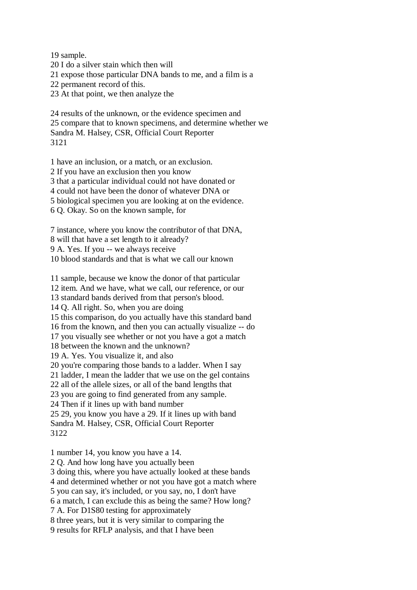19 sample. 20 I do a silver stain which then will 21 expose those particular DNA bands to me, and a film is a 22 permanent record of this. 23 At that point, we then analyze the

24 results of the unknown, or the evidence specimen and 25 compare that to known specimens, and determine whether we Sandra M. Halsey, CSR, Official Court Reporter 3121

1 have an inclusion, or a match, or an exclusion. 2 If you have an exclusion then you know 3 that a particular individual could not have donated or 4 could not have been the donor of whatever DNA or 5 biological specimen you are looking at on the evidence. 6 Q. Okay. So on the known sample, for

7 instance, where you know the contributor of that DNA, 8 will that have a set length to it already? 9 A. Yes. If you -- we always receive 10 blood standards and that is what we call our known

11 sample, because we know the donor of that particular 12 item. And we have, what we call, our reference, or our 13 standard bands derived from that person's blood. 14 Q. All right. So, when you are doing 15 this comparison, do you actually have this standard band 16 from the known, and then you can actually visualize -- do 17 you visually see whether or not you have a got a match 18 between the known and the unknown? 19 A. Yes. You visualize it, and also 20 you're comparing those bands to a ladder. When I say 21 ladder, I mean the ladder that we use on the gel contains 22 all of the allele sizes, or all of the band lengths that 23 you are going to find generated from any sample. 24 Then if it lines up with band number 25 29, you know you have a 29. If it lines up with band Sandra M. Halsey, CSR, Official Court Reporter 3122

1 number 14, you know you have a 14.

2 Q. And how long have you actually been

3 doing this, where you have actually looked at these bands

4 and determined whether or not you have got a match where

5 you can say, it's included, or you say, no, I don't have

6 a match, I can exclude this as being the same? How long?

7 A. For D1S80 testing for approximately

8 three years, but it is very similar to comparing the

9 results for RFLP analysis, and that I have been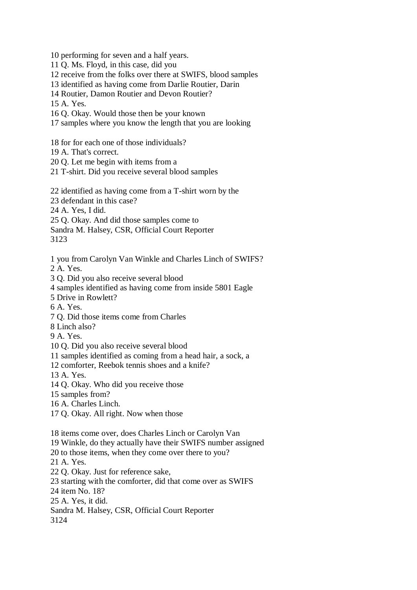10 performing for seven and a half years.

11 Q. Ms. Floyd, in this case, did you

12 receive from the folks over there at SWIFS, blood samples

13 identified as having come from Darlie Routier, Darin

14 Routier, Damon Routier and Devon Routier?

15 A. Yes.

16 Q. Okay. Would those then be your known

17 samples where you know the length that you are looking

18 for for each one of those individuals?

19 A. That's correct.

20 Q. Let me begin with items from a

21 T-shirt. Did you receive several blood samples

22 identified as having come from a T-shirt worn by the

23 defendant in this case?

24 A. Yes, I did.

25 Q. Okay. And did those samples come to

Sandra M. Halsey, CSR, Official Court Reporter

3123

1 you from Carolyn Van Winkle and Charles Linch of SWIFS?

2 A. Yes.

3 Q. Did you also receive several blood

4 samples identified as having come from inside 5801 Eagle

5 Drive in Rowlett?

6 A. Yes.

7 Q. Did those items come from Charles

8 Linch also?

9 A. Yes.

10 Q. Did you also receive several blood

11 samples identified as coming from a head hair, a sock, a

12 comforter, Reebok tennis shoes and a knife?

13 A. Yes.

14 Q. Okay. Who did you receive those

15 samples from?

16 A. Charles Linch.

17 Q. Okay. All right. Now when those

18 items come over, does Charles Linch or Carolyn Van

19 Winkle, do they actually have their SWIFS number assigned

20 to those items, when they come over there to you?

21 A. Yes.

22 Q. Okay. Just for reference sake,

23 starting with the comforter, did that come over as SWIFS

24 item No. 18?

25 A. Yes, it did.

Sandra M. Halsey, CSR, Official Court Reporter

3124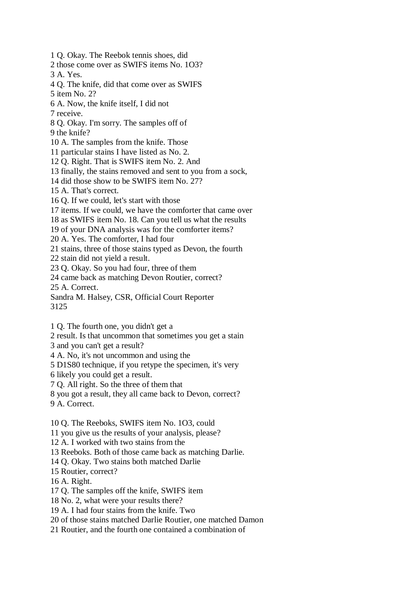1 Q. Okay. The Reebok tennis shoes, did 2 those come over as SWIFS items No. 1O3? 3 A. Yes. 4 Q. The knife, did that come over as SWIFS 5 item No. 2? 6 A. Now, the knife itself, I did not 7 receive. 8 Q. Okay. I'm sorry. The samples off of 9 the knife? 10 A. The samples from the knife. Those 11 particular stains I have listed as No. 2. 12 Q. Right. That is SWIFS item No. 2. And 13 finally, the stains removed and sent to you from a sock, 14 did those show to be SWIFS item No. 27? 15 A. That's correct. 16 Q. If we could, let's start with those 17 items. If we could, we have the comforter that came over 18 as SWIFS item No. 18. Can you tell us what the results 19 of your DNA analysis was for the comforter items? 20 A. Yes. The comforter, I had four 21 stains, three of those stains typed as Devon, the fourth 22 stain did not yield a result. 23 Q. Okay. So you had four, three of them 24 came back as matching Devon Routier, correct? 25 A. Correct. Sandra M. Halsey, CSR, Official Court Reporter 3125

- 1 Q. The fourth one, you didn't get a
- 2 result. Is that uncommon that sometimes you get a stain
- 3 and you can't get a result?
- 4 A. No, it's not uncommon and using the
- 5 D1S80 technique, if you retype the specimen, it's very
- 6 likely you could get a result.
- 7 Q. All right. So the three of them that
- 8 you got a result, they all came back to Devon, correct?
- 9 A. Correct.
- 10 Q. The Reeboks, SWIFS item No. 1O3, could
- 11 you give us the results of your analysis, please?
- 12 A. I worked with two stains from the
- 13 Reeboks. Both of those came back as matching Darlie.
- 14 Q. Okay. Two stains both matched Darlie
- 15 Routier, correct?
- 16 A. Right.
- 17 Q. The samples off the knife, SWIFS item
- 18 No. 2, what were your results there?
- 19 A. I had four stains from the knife. Two
- 20 of those stains matched Darlie Routier, one matched Damon
- 21 Routier, and the fourth one contained a combination of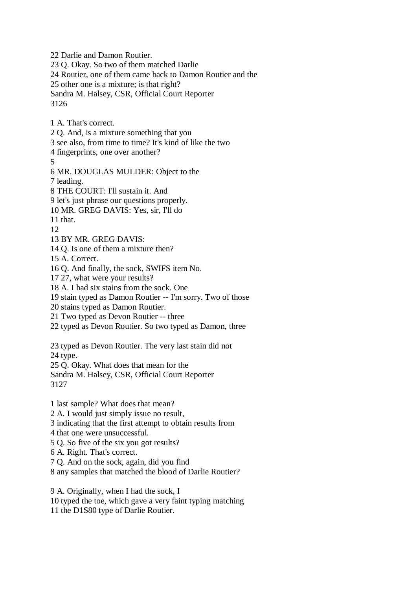22 Darlie and Damon Routier.

23 Q. Okay. So two of them matched Darlie

24 Routier, one of them came back to Damon Routier and the

25 other one is a mixture; is that right?

Sandra M. Halsey, CSR, Official Court Reporter

3126

1 A. That's correct.

2 Q. And, is a mixture something that you

3 see also, from time to time? It's kind of like the two

4 fingerprints, one over another?

5

6 MR. DOUGLAS MULDER: Object to the

7 leading.

8 THE COURT: I'll sustain it. And

9 let's just phrase our questions properly.

10 MR. GREG DAVIS: Yes, sir, I'll do

11 that.

12

13 BY MR. GREG DAVIS:

14 Q. Is one of them a mixture then?

15 A. Correct.

16 Q. And finally, the sock, SWIFS item No.

17 27, what were your results?

18 A. I had six stains from the sock. One

19 stain typed as Damon Routier -- I'm sorry. Two of those

20 stains typed as Damon Routier.

21 Two typed as Devon Routier -- three

22 typed as Devon Routier. So two typed as Damon, three

23 typed as Devon Routier. The very last stain did not

24 type.

25 Q. Okay. What does that mean for the

Sandra M. Halsey, CSR, Official Court Reporter 3127

1 last sample? What does that mean?

2 A. I would just simply issue no result,

3 indicating that the first attempt to obtain results from

4 that one were unsuccessful.

5 Q. So five of the six you got results?

6 A. Right. That's correct.

7 Q. And on the sock, again, did you find

8 any samples that matched the blood of Darlie Routier?

9 A. Originally, when I had the sock, I 10 typed the toe, which gave a very faint typing matching 11 the D1S80 type of Darlie Routier.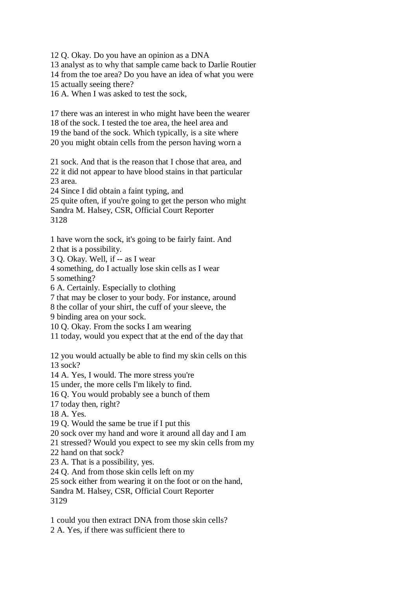12 Q. Okay. Do you have an opinion as a DNA

13 analyst as to why that sample came back to Darlie Routier

14 from the toe area? Do you have an idea of what you were

15 actually seeing there?

16 A. When I was asked to test the sock,

17 there was an interest in who might have been the wearer

18 of the sock. I tested the toe area, the heel area and

19 the band of the sock. Which typically, is a site where

20 you might obtain cells from the person having worn a

21 sock. And that is the reason that I chose that area, and 22 it did not appear to have blood stains in that particular 23 area.

24 Since I did obtain a faint typing, and

25 quite often, if you're going to get the person who might Sandra M. Halsey, CSR, Official Court Reporter 3128

1 have worn the sock, it's going to be fairly faint. And 2 that is a possibility.

3 Q. Okay. Well, if -- as I wear

4 something, do I actually lose skin cells as I wear

5 something?

6 A. Certainly. Especially to clothing

7 that may be closer to your body. For instance, around

8 the collar of your shirt, the cuff of your sleeve, the

9 binding area on your sock.

10 Q. Okay. From the socks I am wearing

11 today, would you expect that at the end of the day that

12 you would actually be able to find my skin cells on this 13 sock?

14 A. Yes, I would. The more stress you're

15 under, the more cells I'm likely to find.

16 Q. You would probably see a bunch of them

17 today then, right?

18 A. Yes.

19 Q. Would the same be true if I put this

20 sock over my hand and wore it around all day and I am

21 stressed? Would you expect to see my skin cells from my

22 hand on that sock?

23 A. That is a possibility, yes.

24 Q. And from those skin cells left on my

25 sock either from wearing it on the foot or on the hand,

Sandra M. Halsey, CSR, Official Court Reporter 3129

1 could you then extract DNA from those skin cells? 2 A. Yes, if there was sufficient there to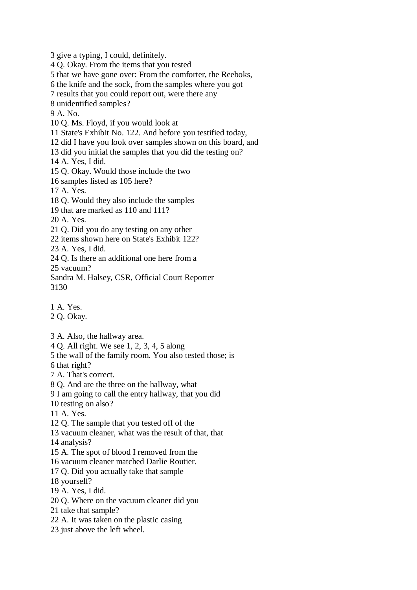3 give a typing, I could, definitely. 4 Q. Okay. From the items that you tested 5 that we have gone over: From the comforter, the Reeboks, 6 the knife and the sock, from the samples where you got 7 results that you could report out, were there any 8 unidentified samples? 9 A. No. 10 Q. Ms. Floyd, if you would look at 11 State's Exhibit No. 122. And before you testified today, 12 did I have you look over samples shown on this board, and 13 did you initial the samples that you did the testing on? 14 A. Yes, I did. 15 Q. Okay. Would those include the two 16 samples listed as 105 here? 17 A. Yes. 18 Q. Would they also include the samples 19 that are marked as 110 and 111? 20 A. Yes. 21 Q. Did you do any testing on any other 22 items shown here on State's Exhibit 122? 23 A. Yes, I did. 24 Q. Is there an additional one here from a 25 vacuum? Sandra M. Halsey, CSR, Official Court Reporter

3130

1 A. Yes.

2 Q. Okay.

3 A. Also, the hallway area.

4 Q. All right. We see 1, 2, 3, 4, 5 along

5 the wall of the family room. You also tested those; is

6 that right?

7 A. That's correct.

8 Q. And are the three on the hallway, what

9 I am going to call the entry hallway, that you did

10 testing on also?

11 A. Yes.

12 Q. The sample that you tested off of the

13 vacuum cleaner, what was the result of that, that

14 analysis?

15 A. The spot of blood I removed from the

16 vacuum cleaner matched Darlie Routier.

17 Q. Did you actually take that sample

18 yourself?

19 A. Yes, I did.

20 Q. Where on the vacuum cleaner did you

21 take that sample?

22 A. It was taken on the plastic casing

23 just above the left wheel.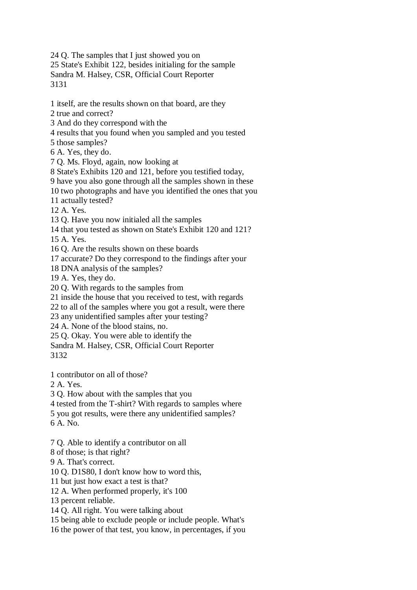24 Q. The samples that I just showed you on 25 State's Exhibit 122, besides initialing for the sample Sandra M. Halsey, CSR, Official Court Reporter 3131

1 itself, are the results shown on that board, are they

2 true and correct?

3 And do they correspond with the

4 results that you found when you sampled and you tested

5 those samples?

6 A. Yes, they do.

7 Q. Ms. Floyd, again, now looking at

8 State's Exhibits 120 and 121, before you testified today,

9 have you also gone through all the samples shown in these

10 two photographs and have you identified the ones that you

11 actually tested?

12 A. Yes.

13 Q. Have you now initialed all the samples

14 that you tested as shown on State's Exhibit 120 and 121?

 $15 \text{ A}$ . Yes.

16 Q. Are the results shown on these boards

17 accurate? Do they correspond to the findings after your

18 DNA analysis of the samples?

19 A. Yes, they do.

20 Q. With regards to the samples from

21 inside the house that you received to test, with regards

22 to all of the samples where you got a result, were there

23 any unidentified samples after your testing?

24 A. None of the blood stains, no.

25 Q. Okay. You were able to identify the

Sandra M. Halsey, CSR, Official Court Reporter 3132

1 contributor on all of those?

2 A. Yes.

3 Q. How about with the samples that you

4 tested from the T-shirt? With regards to samples where

5 you got results, were there any unidentified samples?

6 A. No.

7 Q. Able to identify a contributor on all

8 of those; is that right?

9 A. That's correct.

10 Q. D1S80, I don't know how to word this,

11 but just how exact a test is that?

12 A. When performed properly, it's 100

13 percent reliable.

14 Q. All right. You were talking about

15 being able to exclude people or include people. What's

16 the power of that test, you know, in percentages, if you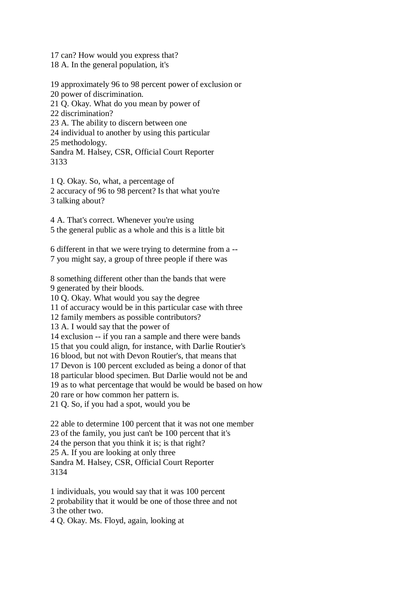17 can? How would you express that?

18 A. In the general population, it's

19 approximately 96 to 98 percent power of exclusion or

20 power of discrimination.

21 Q. Okay. What do you mean by power of

22 discrimination?

23 A. The ability to discern between one

24 individual to another by using this particular

25 methodology.

Sandra M. Halsey, CSR, Official Court Reporter 3133

1 Q. Okay. So, what, a percentage of 2 accuracy of 96 to 98 percent? Is that what you're 3 talking about?

4 A. That's correct. Whenever you're using 5 the general public as a whole and this is a little bit

6 different in that we were trying to determine from a -- 7 you might say, a group of three people if there was

8 something different other than the bands that were 9 generated by their bloods.

10 Q. Okay. What would you say the degree

11 of accuracy would be in this particular case with three

12 family members as possible contributors?

13 A. I would say that the power of

14 exclusion -- if you ran a sample and there were bands

15 that you could align, for instance, with Darlie Routier's

16 blood, but not with Devon Routier's, that means that

17 Devon is 100 percent excluded as being a donor of that

18 particular blood specimen. But Darlie would not be and

19 as to what percentage that would be would be based on how

20 rare or how common her pattern is.

21 Q. So, if you had a spot, would you be

22 able to determine 100 percent that it was not one member 23 of the family, you just can't be 100 percent that it's 24 the person that you think it is; is that right? 25 A. If you are looking at only three Sandra M. Halsey, CSR, Official Court Reporter 3134

1 individuals, you would say that it was 100 percent

2 probability that it would be one of those three and not

3 the other two.

4 Q. Okay. Ms. Floyd, again, looking at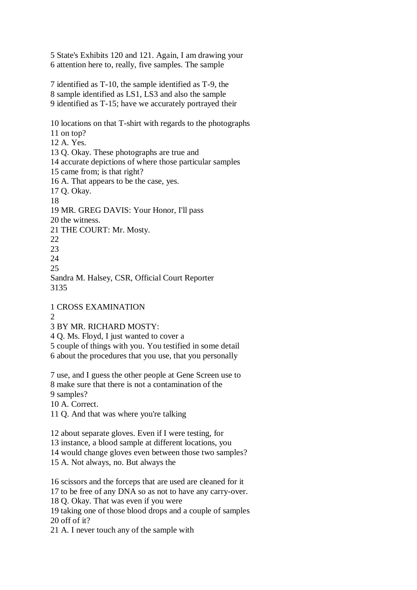5 State's Exhibits 120 and 121. Again, I am drawing your 6 attention here to, really, five samples. The sample

7 identified as T-10, the sample identified as T-9, the 8 sample identified as LS1, LS3 and also the sample 9 identified as T-15; have we accurately portrayed their

10 locations on that T-shirt with regards to the photographs 11 on top? 12 A. Yes. 13 Q. Okay. These photographs are true and 14 accurate depictions of where those particular samples 15 came from; is that right? 16 A. That appears to be the case, yes. 17 Q. Okay. 18 19 MR. GREG DAVIS: Your Honor, I'll pass 20 the witness. 21 THE COURT: Mr. Mosty. 22 23  $24$ 25

Sandra M. Halsey, CSR, Official Court Reporter 3135

1 CROSS EXAMINATION

 $\mathcal{D}_{\alpha}$ 

3 BY MR. RICHARD MOSTY:

4 Q. Ms. Floyd, I just wanted to cover a

5 couple of things with you. You testified in some detail

6 about the procedures that you use, that you personally

7 use, and I guess the other people at Gene Screen use to 8 make sure that there is not a contamination of the 9 samples?

10 A. Correct.

11 Q. And that was where you're talking

12 about separate gloves. Even if I were testing, for

13 instance, a blood sample at different locations, you

14 would change gloves even between those two samples?

15 A. Not always, no. But always the

16 scissors and the forceps that are used are cleaned for it

17 to be free of any DNA so as not to have any carry-over.

18 Q. Okay. That was even if you were

19 taking one of those blood drops and a couple of samples 20 off of it?

21 A. I never touch any of the sample with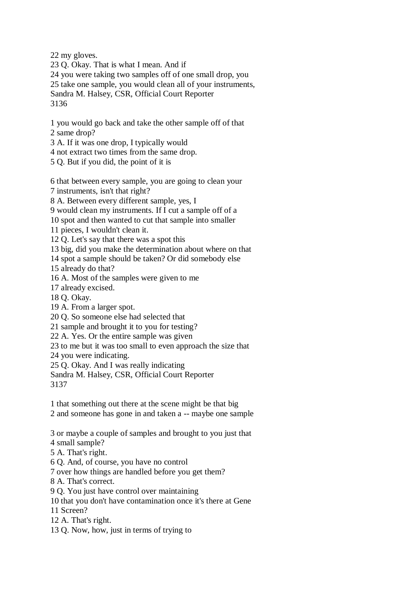22 my gloves.

23 Q. Okay. That is what I mean. And if 24 you were taking two samples off of one small drop, you 25 take one sample, you would clean all of your instruments, Sandra M. Halsey, CSR, Official Court Reporter 3136

1 you would go back and take the other sample off of that 2 same drop?

3 A. If it was one drop, I typically would

4 not extract two times from the same drop.

5 Q. But if you did, the point of it is

6 that between every sample, you are going to clean your

7 instruments, isn't that right?

8 A. Between every different sample, yes, I

9 would clean my instruments. If I cut a sample off of a

10 spot and then wanted to cut that sample into smaller

11 pieces, I wouldn't clean it.

12 Q. Let's say that there was a spot this

13 big, did you make the determination about where on that

14 spot a sample should be taken? Or did somebody else

15 already do that?

16 A. Most of the samples were given to me

17 already excised.

18 Q. Okay.

19 A. From a larger spot.

20 Q. So someone else had selected that

21 sample and brought it to you for testing?

22 A. Yes. Or the entire sample was given

23 to me but it was too small to even approach the size that

24 you were indicating.

25 Q. Okay. And I was really indicating

Sandra M. Halsey, CSR, Official Court Reporter 3137

1 that something out there at the scene might be that big

2 and someone has gone in and taken a -- maybe one sample

3 or maybe a couple of samples and brought to you just that

4 small sample?

5 A. That's right.

6 Q. And, of course, you have no control

7 over how things are handled before you get them?

8 A. That's correct.

9 Q. You just have control over maintaining

10 that you don't have contamination once it's there at Gene

11 Screen?

12 A. That's right.

13 Q. Now, how, just in terms of trying to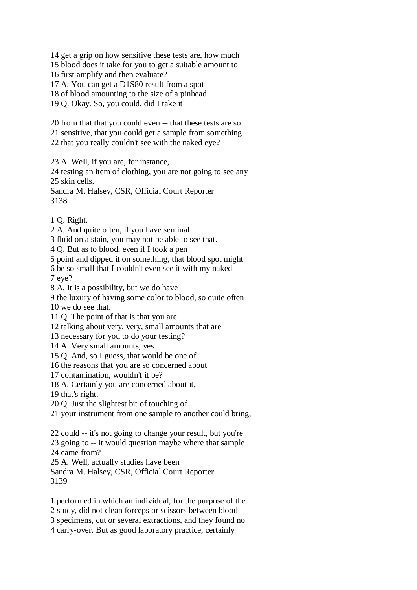14 get a grip on how sensitive these tests are, how much

15 blood does it take for you to get a suitable amount to

16 first amplify and then evaluate?

17 A. You can get a D1S80 result from a spot

18 of blood amounting to the size of a pinhead.

19 Q. Okay. So, you could, did I take it

20 from that that you could even -- that these tests are so 21 sensitive, that you could get a sample from something

22 that you really couldn't see with the naked eye?

23 A. Well, if you are, for instance,

24 testing an item of clothing, you are not going to see any 25 skin cells.

Sandra M. Halsey, CSR, Official Court Reporter 3138

1 Q. Right.

2 A. And quite often, if you have seminal

3 fluid on a stain, you may not be able to see that.

4 Q. But as to blood, even if I took a pen

5 point and dipped it on something, that blood spot might

6 be so small that I couldn't even see it with my naked

7 eye?

8 A. It is a possibility, but we do have

9 the luxury of having some color to blood, so quite often

10 we do see that.

11 Q. The point of that is that you are

12 talking about very, very, small amounts that are

13 necessary for you to do your testing?

14 A. Very small amounts, yes.

15 Q. And, so I guess, that would be one of

16 the reasons that you are so concerned about

17 contamination, wouldn't it be?

18 A. Certainly you are concerned about it,

19 that's right.

20 Q. Just the slightest bit of touching of

21 your instrument from one sample to another could bring,

22 could -- it's not going to change your result, but you're

23 going to -- it would question maybe where that sample 24 came from?

25 A. Well, actually studies have been

Sandra M. Halsey, CSR, Official Court Reporter 3139

1 performed in which an individual, for the purpose of the

2 study, did not clean forceps or scissors between blood

3 specimens, cut or several extractions, and they found no

4 carry-over. But as good laboratory practice, certainly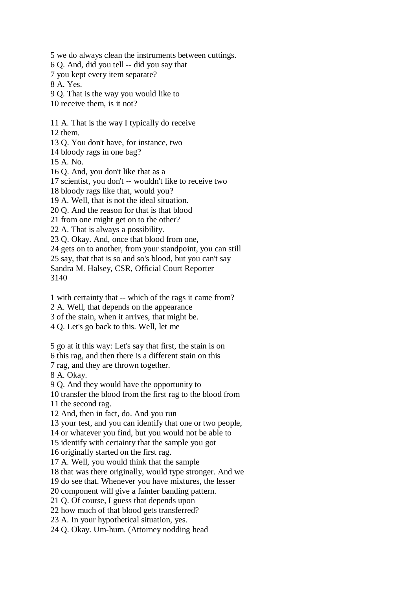5 we do always clean the instruments between cuttings. 6 Q. And, did you tell -- did you say that 7 you kept every item separate? 8 A. Yes. 9 Q. That is the way you would like to 10 receive them, is it not? 11 A. That is the way I typically do receive 12 them. 13 Q. You don't have, for instance, two 14 bloody rags in one bag? 15 A. No. 16 Q. And, you don't like that as a 17 scientist, you don't -- wouldn't like to receive two 18 bloody rags like that, would you? 19 A. Well, that is not the ideal situation. 20 Q. And the reason for that is that blood 21 from one might get on to the other? 22 A. That is always a possibility. 23 Q. Okay. And, once that blood from one, 24 gets on to another, from your standpoint, you can still 25 say, that that is so and so's blood, but you can't say Sandra M. Halsey, CSR, Official Court Reporter 3140 1 with certainty that -- which of the rags it came from? 2 A. Well, that depends on the appearance 3 of the stain, when it arrives, that might be. 4 Q. Let's go back to this. Well, let me 5 go at it this way: Let's say that first, the stain is on 6 this rag, and then there is a different stain on this 7 rag, and they are thrown together. 8 A. Okay. 9 Q. And they would have the opportunity to 10 transfer the blood from the first rag to the blood from 11 the second rag. 12 And, then in fact, do. And you run 13 your test, and you can identify that one or two people, 14 or whatever you find, but you would not be able to 15 identify with certainty that the sample you got 16 originally started on the first rag. 17 A. Well, you would think that the sample 18 that was there originally, would type stronger. And we 19 do see that. Whenever you have mixtures, the lesser 20 component will give a fainter banding pattern. 21 Q. Of course, I guess that depends upon 22 how much of that blood gets transferred? 23 A. In your hypothetical situation, yes. 24 Q. Okay. Um-hum. (Attorney nodding head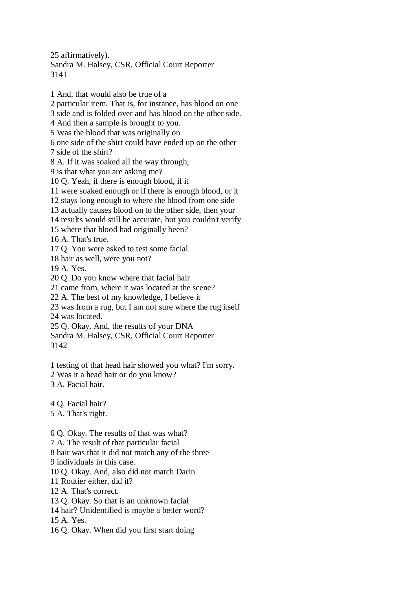25 affirmatively).

Sandra M. Halsey, CSR, Official Court Reporter 3141

1 And, that would also be true of a 2 particular item. That is, for instance, has blood on one 3 side and is folded over and has blood on the other side. 4 And then a sample is brought to you. 5 Was the blood that was originally on 6 one side of the shirt could have ended up on the other 7 side of the shirt? 8 A. If it was soaked all the way through, 9 is that what you are asking me? 10 Q. Yeah, if there is enough blood, if it 11 were soaked enough or if there is enough blood, or it 12 stays long enough to where the blood from one side 13 actually causes blood on to the other side, then your 14 results would still be accurate, but you couldn't verify 15 where that blood had originally been? 16 A. That's true. 17 Q. You were asked to test some facial 18 hair as well, were you not? 19 A. Yes. 20 Q. Do you know where that facial hair 21 came from, where it was located at the scene? 22 A. The best of my knowledge, I believe it 23 was from a rug, but I am not sure where the rug itself 24 was located. 25 Q. Okay. And, the results of your DNA Sandra M. Halsey, CSR, Official Court Reporter 3142 1 testing of that head hair showed you what? I'm sorry. 2 Was it a head hair or do you know? 3 A. Facial hair. 4 Q. Facial hair? 5 A. That's right.

6 Q. Okay. The results of that was what?

7 A. The result of that particular facial

8 hair was that it did not match any of the three

9 individuals in this case.

10 Q. Okay. And, also did not match Darin

11 Routier either, did it?

12 A. That's correct.

13 Q. Okay. So that is an unknown facial

14 hair? Unidentified is maybe a better word?

15 A. Yes.

16 Q. Okay. When did you first start doing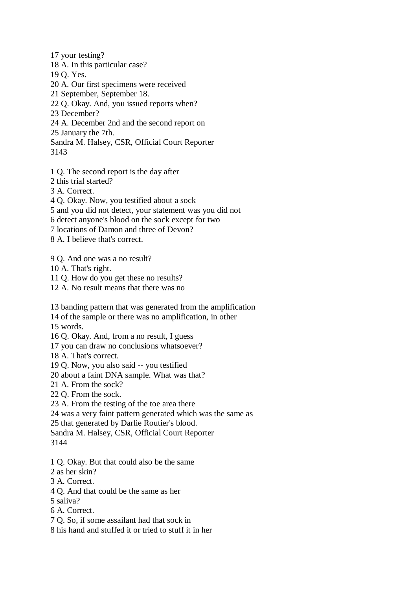17 your testing? 18 A. In this particular case? 19 Q. Yes. 20 A. Our first specimens were received 21 September, September 18. 22 Q. Okay. And, you issued reports when? 23 December? 24 A. December 2nd and the second report on 25 January the 7th. Sandra M. Halsey, CSR, Official Court Reporter 3143

- 1 Q. The second report is the day after
- 2 this trial started?

3 A. Correct.

4 Q. Okay. Now, you testified about a sock

- 5 and you did not detect, your statement was you did not
- 6 detect anyone's blood on the sock except for two
- 7 locations of Damon and three of Devon?

8 A. I believe that's correct.

9 Q. And one was a no result?

10 A. That's right.

11 Q. How do you get these no results?

- 12 A. No result means that there was no
- 13 banding pattern that was generated from the amplification
- 14 of the sample or there was no amplification, in other

15 words.

- 16 Q. Okay. And, from a no result, I guess
- 17 you can draw no conclusions whatsoever?

18 A. That's correct.

19 Q. Now, you also said -- you testified

20 about a faint DNA sample. What was that?

21 A. From the sock?

22 Q. From the sock.

23 A. From the testing of the toe area there

24 was a very faint pattern generated which was the same as

25 that generated by Darlie Routier's blood.

Sandra M. Halsey, CSR, Official Court Reporter 3144

- 1 Q. Okay. But that could also be the same
- 2 as her skin?
- 3 A. Correct.
- 4 Q. And that could be the same as her
- 5 saliva?

6 A. Correct.

7 Q. So, if some assailant had that sock in

8 his hand and stuffed it or tried to stuff it in her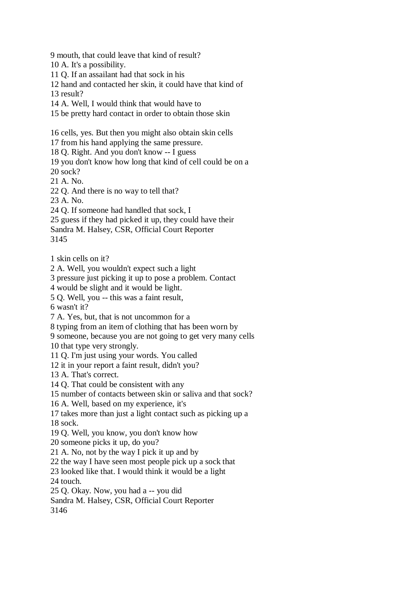9 mouth, that could leave that kind of result?

- 10 A. It's a possibility.
- 11 Q. If an assailant had that sock in his
- 12 hand and contacted her skin, it could have that kind of
- 13 result?
- 14 A. Well, I would think that would have to
- 15 be pretty hard contact in order to obtain those skin

16 cells, yes. But then you might also obtain skin cells

- 17 from his hand applying the same pressure.
- 18 Q. Right. And you don't know -- I guess
- 19 you don't know how long that kind of cell could be on a
- 20 sock?
- 21 A. No.
- 22 Q. And there is no way to tell that?
- 23 A. No.
- 24 Q. If someone had handled that sock, I
- 25 guess if they had picked it up, they could have their
- Sandra M. Halsey, CSR, Official Court Reporter
- 3145
- 1 skin cells on it?
- 2 A. Well, you wouldn't expect such a light
- 3 pressure just picking it up to pose a problem. Contact
- 4 would be slight and it would be light.
- 5 Q. Well, you -- this was a faint result,
- 6 wasn't it?
- 7 A. Yes, but, that is not uncommon for a
- 8 typing from an item of clothing that has been worn by
- 9 someone, because you are not going to get very many cells
- 10 that type very strongly.
- 11 Q. I'm just using your words. You called
- 12 it in your report a faint result, didn't you?
- 13 A. That's correct.
- 14 Q. That could be consistent with any
- 15 number of contacts between skin or saliva and that sock?
- 16 A. Well, based on my experience, it's
- 17 takes more than just a light contact such as picking up a 18 sock.
- 19 Q. Well, you know, you don't know how
- 20 someone picks it up, do you?
- 21 A. No, not by the way I pick it up and by
- 22 the way I have seen most people pick up a sock that
- 23 looked like that. I would think it would be a light
- 24 touch.
- 25 Q. Okay. Now, you had a -- you did
- Sandra M. Halsey, CSR, Official Court Reporter

3146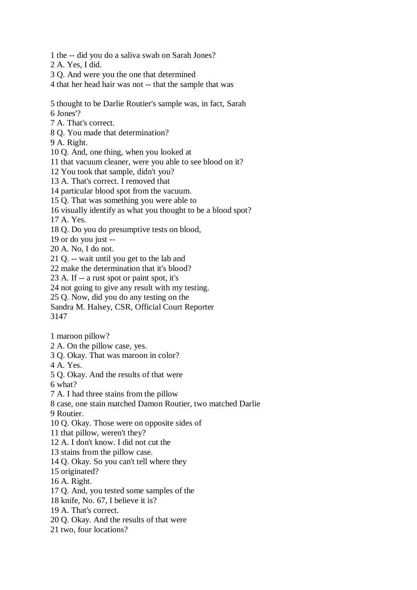- 1 the -- did you do a saliva swab on Sarah Jones?
- 2 A. Yes, I did.
- 3 Q. And were you the one that determined
- 4 that her head hair was not -- that the sample that was
- 5 thought to be Darlie Routier's sample was, in fact, Sarah
- 6 Jones'?
- 7 A. That's correct.
- 8 Q. You made that determination?
- 9 A. Right.
- 10 Q. And, one thing, when you looked at
- 11 that vacuum cleaner, were you able to see blood on it?
- 12 You took that sample, didn't you?
- 13 A. That's correct. I removed that
- 14 particular blood spot from the vacuum.
- 15 Q. That was something you were able to
- 16 visually identify as what you thought to be a blood spot?
- 17 A. Yes.
- 18 Q. Do you do presumptive tests on blood,
- 19 or do you just --
- 20 A. No, I do not.
- 21 Q. -- wait until you get to the lab and
- 22 make the determination that it's blood?
- 23 A. If -- a rust spot or paint spot, it's
- 24 not going to give any result with my testing.
- 25 Q. Now, did you do any testing on the
- Sandra M. Halsey, CSR, Official Court Reporter 3147
- 1 maroon pillow?
- 2 A. On the pillow case, yes.
- 3 Q. Okay. That was maroon in color?
- 4 A. Yes.
- 5 Q. Okay. And the results of that were
- 6 what?
- 7 A. I had three stains from the pillow
- 8 case, one stain matched Damon Routier, two matched Darlie
- 9 Routier.
- 10 Q. Okay. Those were on opposite sides of
- 11 that pillow, weren't they?
- 12 A. I don't know. I did not cut the
- 13 stains from the pillow case.
- 14 Q. Okay. So you can't tell where they
- 15 originated?
- 16 A. Right.
- 17 Q. And, you tested some samples of the
- 18 knife, No. 67, I believe it is?
- 19 A. That's correct.
- 20 Q. Okay. And the results of that were
- 21 two, four locations?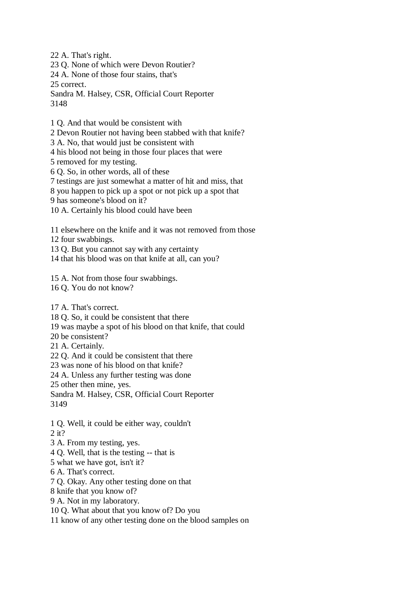22 A. That's right.

23 Q. None of which were Devon Routier?

24 A. None of those four stains, that's

25 correct.

Sandra M. Halsey, CSR, Official Court Reporter 3148

1 Q. And that would be consistent with

2 Devon Routier not having been stabbed with that knife?

3 A. No, that would just be consistent with

4 his blood not being in those four places that were

5 removed for my testing.

6 Q. So, in other words, all of these

7 testings are just somewhat a matter of hit and miss, that

8 you happen to pick up a spot or not pick up a spot that

9 has someone's blood on it?

10 A. Certainly his blood could have been

11 elsewhere on the knife and it was not removed from those

12 four swabbings.

13 Q. But you cannot say with any certainty

14 that his blood was on that knife at all, can you?

15 A. Not from those four swabbings.

16 Q. You do not know?

17 A. That's correct.

18 Q. So, it could be consistent that there

19 was maybe a spot of his blood on that knife, that could

20 be consistent?

21 A. Certainly.

22 Q. And it could be consistent that there

23 was none of his blood on that knife?

24 A. Unless any further testing was done

25 other then mine, yes.

Sandra M. Halsey, CSR, Official Court Reporter 3149

1 Q. Well, it could be either way, couldn't

2 it?

3 A. From my testing, yes.

4 Q. Well, that is the testing -- that is

5 what we have got, isn't it?

6 A. That's correct.

7 Q. Okay. Any other testing done on that

8 knife that you know of?

9 A. Not in my laboratory.

10 Q. What about that you know of? Do you

11 know of any other testing done on the blood samples on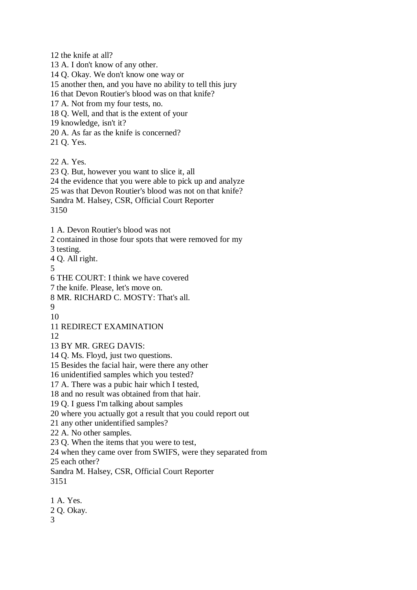12 the knife at all?

13 A. I don't know of any other.

14 Q. Okay. We don't know one way or

15 another then, and you have no ability to tell this jury

16 that Devon Routier's blood was on that knife?

17 A. Not from my four tests, no.

18 Q. Well, and that is the extent of your

19 knowledge, isn't it?

20 A. As far as the knife is concerned?

21 Q. Yes.

22 A. Yes.

23 Q. But, however you want to slice it, all

24 the evidence that you were able to pick up and analyze

25 was that Devon Routier's blood was not on that knife?

Sandra M. Halsey, CSR, Official Court Reporter

3150

1 A. Devon Routier's blood was not

2 contained in those four spots that were removed for my

3 testing.

4 Q. All right.

5

6 THE COURT: I think we have covered

7 the knife. Please, let's move on.

8 MR. RICHARD C. MOSTY: That's all.

 $\mathbf Q$ 10

11 REDIRECT EXAMINATION

12

13 BY MR. GREG DAVIS:

14 Q. Ms. Floyd, just two questions.

15 Besides the facial hair, were there any other

16 unidentified samples which you tested?

17 A. There was a pubic hair which I tested,

18 and no result was obtained from that hair.

19 Q. I guess I'm talking about samples

20 where you actually got a result that you could report out

21 any other unidentified samples?

22 A. No other samples.

23 Q. When the items that you were to test,

24 when they came over from SWIFS, were they separated from

25 each other?

Sandra M. Halsey, CSR, Official Court Reporter 3151

1 A. Yes. 2 Q. Okay. 3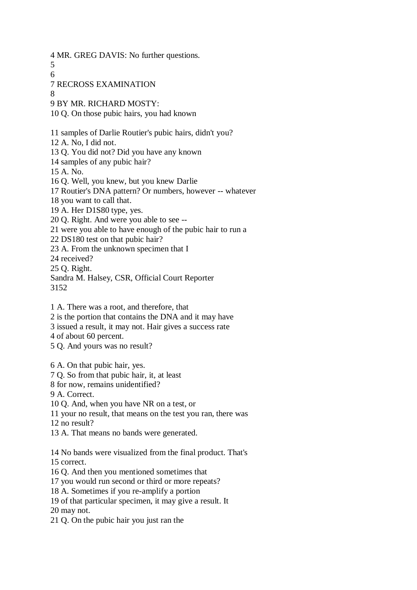- 4 MR. GREG DAVIS: No further questions.
- 5
- 6
- 7 RECROSS EXAMINATION
- 8
- 9 BY MR. RICHARD MOSTY:
- 10 Q. On those pubic hairs, you had known
- 11 samples of Darlie Routier's pubic hairs, didn't you?
- 12 A. No, I did not.
- 13 Q. You did not? Did you have any known
- 14 samples of any pubic hair?
- 15 A. No.
- 16 Q. Well, you knew, but you knew Darlie
- 17 Routier's DNA pattern? Or numbers, however -- whatever
- 18 you want to call that.
- 19 A. Her D1S80 type, yes.
- 20 Q. Right. And were you able to see --
- 21 were you able to have enough of the pubic hair to run a
- 22 DS180 test on that pubic hair?
- 23 A. From the unknown specimen that I
- 24 received?
- 25 Q. Right.
- Sandra M. Halsey, CSR, Official Court Reporter 3152
- 1 A. There was a root, and therefore, that
- 2 is the portion that contains the DNA and it may have
- 3 issued a result, it may not. Hair gives a success rate
- 4 of about 60 percent.
- 5 Q. And yours was no result?
- 6 A. On that pubic hair, yes.
- 7 Q. So from that pubic hair, it, at least
- 8 for now, remains unidentified?
- 9 A. Correct.
- 10 Q. And, when you have NR on a test, or
- 11 your no result, that means on the test you ran, there was
- 12 no result?
- 13 A. That means no bands were generated.
- 14 No bands were visualized from the final product. That's 15 correct.
- 16 Q. And then you mentioned sometimes that
- 17 you would run second or third or more repeats?
- 18 A. Sometimes if you re-amplify a portion
- 19 of that particular specimen, it may give a result. It
- 20 may not.
- 21 Q. On the pubic hair you just ran the